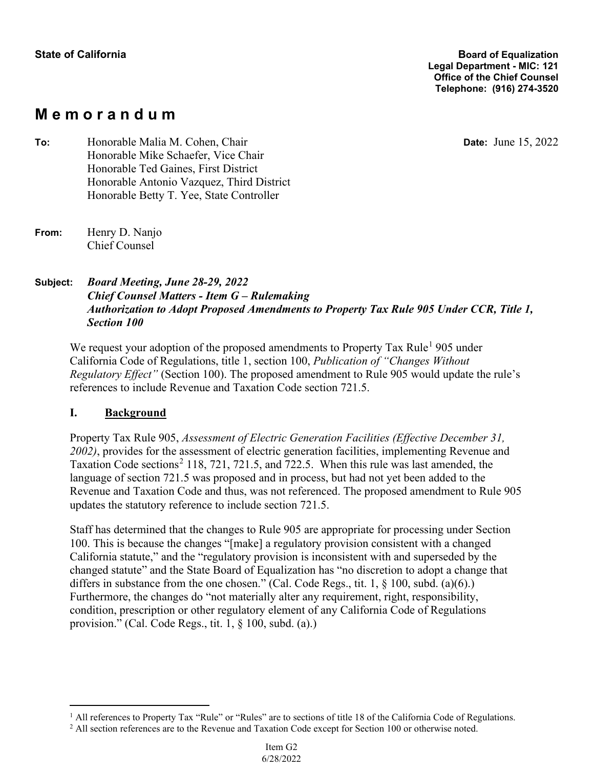# **M e m o r a n d u m**

**Date:** June 15, 2022

**To:** Honorable Malia M. Cohen, Chair Honorable Mike Schaefer, Vice Chair Honorable Ted Gaines, First District Honorable Antonio Vazquez, Third District Honorable Betty T. Yee, State Controller

### **Subject:** *Board Meeting, June 28-29, 2022 Chief Counsel Matters - Item G – Rulemaking Authorization to Adopt Proposed Amendments to Property Tax Rule 905 Under CCR, Title 1, Section 100*

We request your adoption of the proposed amendments to Property Tax Rule<sup>1</sup> 905 under California Code of Regulations, title 1, section 100, *Publication of "Changes Without Regulatory Effect"* (Section 100). The proposed amendment to Rule 905 would update the rule's references to include Revenue and Taxation Code section 721.5.

# **I. Background**

Property Tax Rule 905, *Assessment of Electric Generation Facilities (Effective December 31, 2002)*, provides for the assessment of electric generation facilities, implementing Revenue and Taxation Code sections<sup>2</sup> 118, 721, 721.5, and 722.5. When this rule was last amended, the language of section 721.5 was proposed and in process, but had not yet been added to the Revenue and Taxation Code and thus, was not referenced. The proposed amendment to Rule 905 updates the statutory reference to include section 721.5.

Staff has determined that the changes to Rule 905 are appropriate for processing under Section 100. This is because the changes "[make] a regulatory provision consistent with a changed California statute," and the "regulatory provision is inconsistent with and superseded by the changed statute" and the State Board of Equalization has "no discretion to adopt a change that differs in substance from the one chosen." (Cal. Code Regs., tit. 1, § 100, subd. (a)(6).) Furthermore, the changes do "not materially alter any requirement, right, responsibility, condition, prescription or other regulatory element of any California Code of Regulations provision." (Cal. Code Regs., tit. 1, § 100, subd. (a).)

**From:** Henry D. Nanjo Chief Counsel

<sup>&</sup>lt;sup>1</sup> All references to Property Tax "Rule" or "Rules" are to sections of title 18 of the California Code of Regulations.

<sup>&</sup>lt;sup>2</sup> All section references are to the Revenue and Taxation Code except for Section 100 or otherwise noted.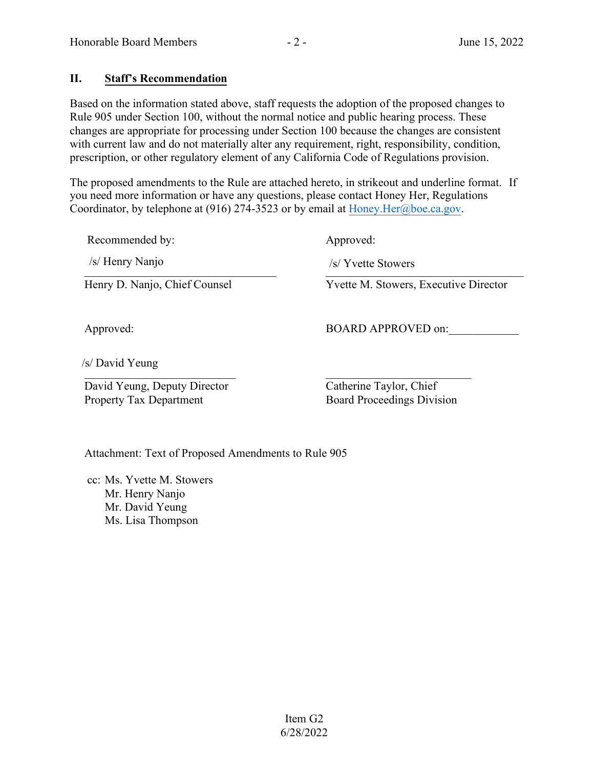# **II. Staff's Recommendation**

Based on the information stated above, staff requests the adoption of the proposed changes to Rule 905 under Section 100, without the normal notice and public hearing process. These changes are appropriate for processing under Section 100 because the changes are consistent with current law and do not materially alter any requirement, right, responsibility, condition, prescription, or other regulatory element of any California Code of Regulations provision.

The proposed amendments to the Rule are attached hereto, in strikeout and underline format. If you need more information or have any questions, please contact Honey Her, Regulations Coordinator, by telephone at (916) 274-3523 or by email at Honey. Her@boe.ca.gov.

Recommended by: Approved:

 $\frac{1}{2}$  T velle Slowers /s/ Henry Nanjo /s/ Yvette Stowers

Henry D. Nanjo, Chief Counsel Yvette M. Stowers, Executive Director

Approved: BOARD APPROVED on:

 $\overline{\phantom{a}}$ /s/ David Yeung

David Yeung, Deputy Director Property Tax Department

 Catherine Taylor, Chief Board Proceedings Division

Attachment: Text of Proposed Amendments to Rule 905

cc: Ms. Yvette M. Stowers Mr. Henry Nanjo Mr. David Yeung Ms. Lisa Thompson